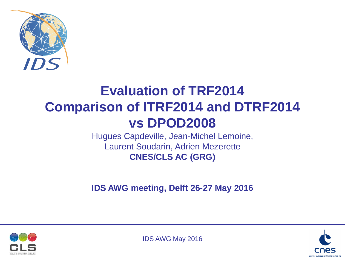

# **Evaluation of TRF2014 Comparison of ITRF2014 and DTRF2014 vs DPOD2008**

Hugues Capdeville, Jean-Michel Lemoine, Laurent Soudarin, Adrien Mezerette **CNES/CLS AC (GRG)**

**IDS AWG meeting, Delft 26-27 May 2016**



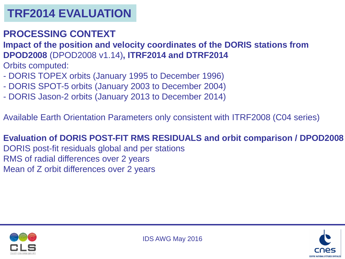### **PROCESSING CONTEXT**

**Impact of the position and velocity coordinates of the DORIS stations from DPOD2008** (DPOD2008 v1.14)**, ITRF2014 and DTRF2014** 

Orbits computed:

- DORIS TOPEX orbits (January 1995 to December 1996)
- DORIS SPOT-5 orbits (January 2003 to December 2004)
- DORIS Jason-2 orbits (January 2013 to December 2014)

Available Earth Orientation Parameters only consistent with ITRF2008 (C04 series)

#### **Evaluation of DORIS POST-FIT RMS RESIDUALS and orbit comparison / DPOD2008** DORIS post-fit residuals global and per stations RMS of radial differences over 2 years

Mean of Z orbit differences over 2 years

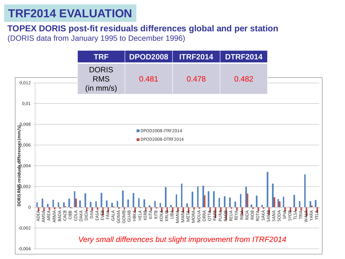#### **TOPEX DORIS post-fit residuals differences global and per station** (DORIS data from January 1995 to December 1996)

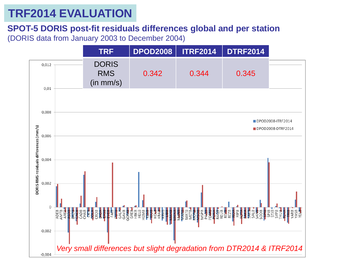#### **SPOT-5 DORIS post-fit residuals differences global and per station** (DORIS data from January 2003 to December 2004)

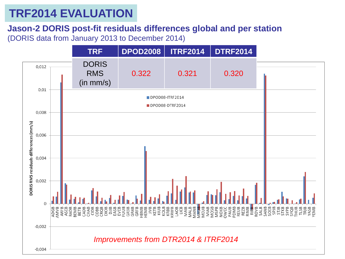**Jason-2 DORIS post-fit residuals differences global and per station** (DORIS data from January 2013 to December 2014)

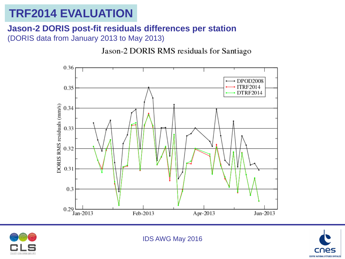#### **Jason-2 DORIS post-fit residuals differences per station** (DORIS data from January 2013 to May 2013)

Jason-2 DORIS RMS residuals for Santiago





IDS AWG May 2016

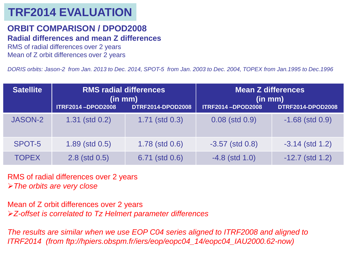#### **ORBIT COMPARISON / DPOD2008**

#### **Radial differences and mean Z differences**

RMS of radial differences over 2 years Mean of Z orbit differences over 2 years

*DORIS orbits: Jason-2 from Jan. 2013 to Dec. 2014, SPOT-5 from Jan. 2003 to Dec. 2004, TOPEX from Jan.1995 to Dec.1996*

| <b>Satellite</b> | <b>RMS radial differences</b><br>(in m <sub>m</sub> ) |                          | <b>Mean Z differences</b><br>(in mm) |                          |
|------------------|-------------------------------------------------------|--------------------------|--------------------------------------|--------------------------|
|                  | <b>ITRF2014-DPOD2008</b>                              | <b>DTRF2014-DPOD2008</b> | <b>ITRF2014-DPOD2008</b>             | <b>DTRF2014-DPOD2008</b> |
| <b>JASON-2</b>   | $1.31$ (std $0.2$ )                                   | $1.71$ (std $0.3$ )      | $0.08$ (std $0.9$ )                  | $-1.68$ (std $0.9$ )     |
| SPOT-5           | $1.89$ (std $0.5$ )                                   | $1.78$ (std $0.6$ )      | $-3.57$ (std $0.8$ )                 | $-3.14$ (std 1.2)        |
| <b>TOPEX</b>     | $2.8$ (std $0.5$ )                                    | 6.71 (std 0.6)           | $-4.8$ (std 1.0)                     | $-12.7$ (std 1.2)        |

RMS of radial differences over 2 years *The orbits are very close*

Mean of Z orbit differences over 2 years *Z-offset is correlated to Tz Helmert parameter differences*

*The results are similar when we use EOP C04 series aligned to ITRF2008 and aligned to ITRF2014 (from ftp://hpiers.obspm.fr/iers/eop/eopc04\_14/eopc04\_IAU2000.62-now)*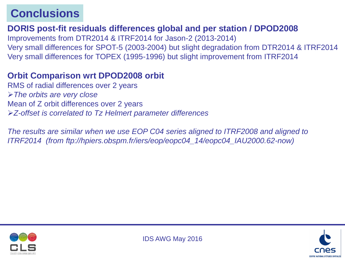## **Conclusions**

#### **DORIS post-fit residuals differences global and per station / DPOD2008**

Improvements from DTR2014 & ITRF2014 for Jason-2 (2013-2014) Very small differences for SPOT-5 (2003-2004) but slight degradation from DTR2014 & ITRF2014 Very small differences for TOPEX (1995-1996) but slight improvement from ITRF2014

#### **Orbit Comparison wrt DPOD2008 orbit**

RMS of radial differences over 2 years *The orbits are very close* Mean of Z orbit differences over 2 years *Z-offset is correlated to Tz Helmert parameter differences*

*The results are similar when we use EOP C04 series aligned to ITRF2008 and aligned to ITRF2014 (from ftp://hpiers.obspm.fr/iers/eop/eopc04\_14/eopc04\_IAU2000.62-now)*



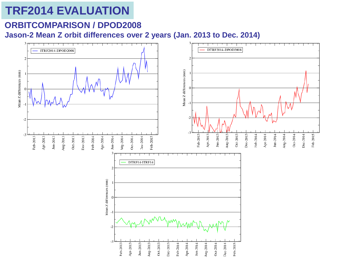### **ORBITCOMPARISON / DPOD2008**

**Jason-2 Mean Z orbit differences over 2 years (Jan. 2013 to Dec. 2014)**

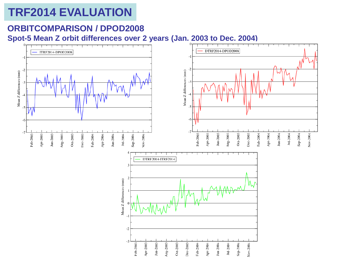#### **ORBITCOMPARISON / DPOD2008**

**Spot-5 Mean Z orbit differences over 2 years (Jan. 2003 to Dec. 2004)**